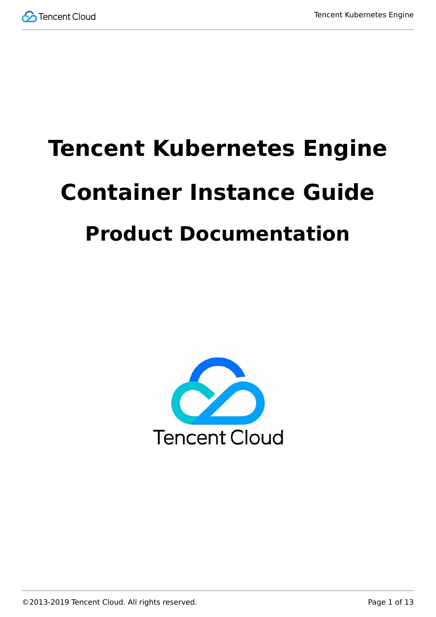# **Tencent Kubernetes Engine Container Instance Guide Product Documentation**

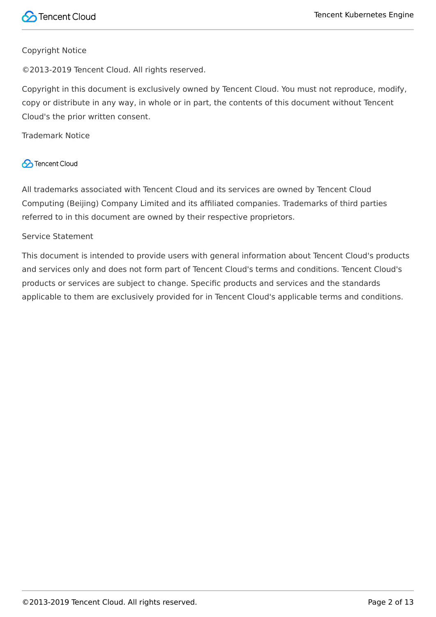#### Copyright Notice

©2013-2019 Tencent Cloud. All rights reserved.

Copyright in this document is exclusively owned by Tencent Cloud. You must not reproduce, modify, copy or distribute in any way, in whole or in part, the contents of this document without Tencent Cloud's the prior written consent.

Trademark Notice

#### **C** Tencent Cloud

All trademarks associated with Tencent Cloud and its services are owned by Tencent Cloud Computing (Beijing) Company Limited and its affiliated companies. Trademarks of third parties referred to in this document are owned by their respective proprietors.

#### Service Statement

This document is intended to provide users with general information about Tencent Cloud's products and services only and does not form part of Tencent Cloud's terms and conditions. Tencent Cloud's products or services are subject to change. Specific products and services and the standards applicable to them are exclusively provided for in Tencent Cloud's applicable terms and conditions.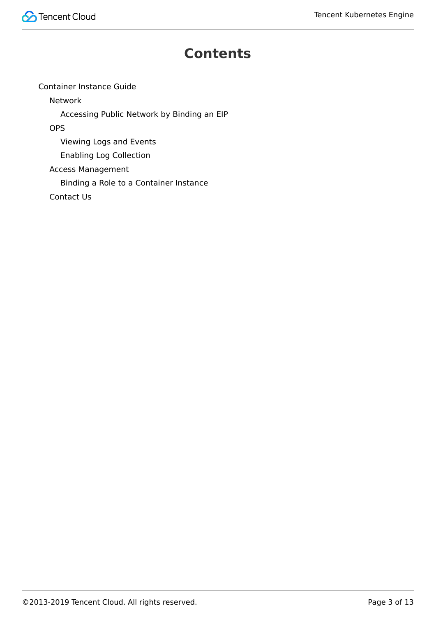

### **Contents**

[Container Instance Guide](#page-3-0)

[Network](#page-3-1)

[Accessing Public Network by Binding an EIP](#page-3-2)

**[OPS](#page-5-0)** 

[Viewing Logs and Events](#page-5-1)

[Enabling Log Collection](#page-7-0)

[Access Management](#page-10-0)

[Binding a Role to a Container Instance](#page-10-1)

[Contact Us](#page-12-0)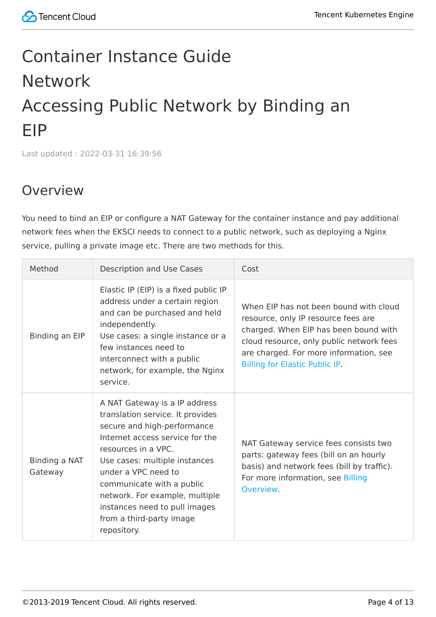# <span id="page-3-2"></span><span id="page-3-1"></span><span id="page-3-0"></span>Container Instance Guide Network Accessing Public Network by Binding an EIP

Last updated:2022-03-31 16:39:56

# Overview

You need to bind an EIP or configure a NAT Gateway for the container instance and pay additional network fees when the EKSCI needs to connect to a public network, such as deploying a Nginx service, pulling a private image etc. There are two methods for this.

| Method                   | Description and Use Cases                                                                                                                                                                                                                                                                                                                                     | Cost                                                                                                                                                                                                                                                  |
|--------------------------|---------------------------------------------------------------------------------------------------------------------------------------------------------------------------------------------------------------------------------------------------------------------------------------------------------------------------------------------------------------|-------------------------------------------------------------------------------------------------------------------------------------------------------------------------------------------------------------------------------------------------------|
| Binding an EIP           | Elastic IP (EIP) is a fixed public IP<br>address under a certain region<br>and can be purchased and held<br>independently.<br>Use cases: a single instance or a<br>few instances need to<br>interconnect with a public<br>network, for example, the Nginx<br>service.                                                                                         | When EIP has not been bound with cloud<br>resource, only IP resource fees are<br>charged. When EIP has been bound with<br>cloud resource, only public network fees<br>are charged. For more information, see<br><b>Billing for Elastic Public IP.</b> |
| Binding a NAT<br>Gateway | A NAT Gateway is a IP address<br>translation service. It provides<br>secure and high-performance<br>Internet access service for the<br>resources in a VPC.<br>Use cases: multiple instances<br>under a VPC need to<br>communicate with a public<br>network. For example, multiple<br>instances need to pull images<br>from a third-party image<br>repository. | NAT Gateway service fees consists two<br>parts: gateway fees (bill on an hourly<br>basis) and network fees (bill by traffic).<br>For more information, see Billing<br>Overview.                                                                       |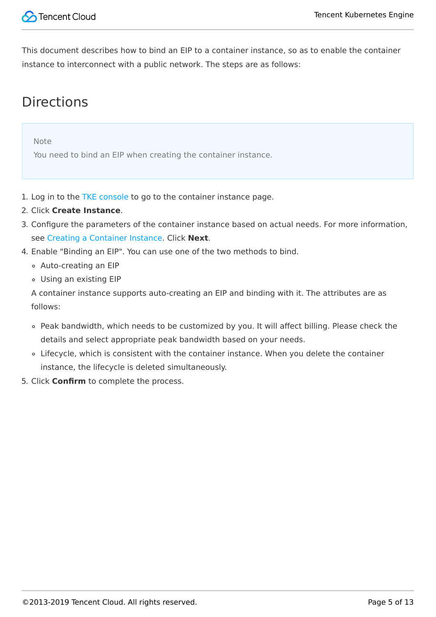

This document describes how to bind an EIP to a container instance, so as to enable the container instance to interconnect with a public network. The steps are as follows:

# **Directions**

Note

You need to bind an EIP when creating the container instance.

- 1. Log in to the [TKE console](https://console.cloud.tencent.com/tke2/eksci) to go to the container instance page.
- 2. Click **Create Instance**.
- 3. Configure the parameters of the container instance based on actual needs. For more information, see [Creating a Container Instance](https://cloud-doc.isd.com/document/product/457/57341#step2). Click **Next**.
- 4. Enable "Binding an EIP". You can use one of the two methods to bind.
	- Auto-creating an EIP
	- Using an existing EIP

A container instance supports auto-creating an EIP and binding with it. The attributes are as follows:

- Peak bandwidth, which needs to be customized by you. It will affect billing. Please check the details and select appropriate peak bandwidth based on your needs.
- Lifecycle, which is consistent with the container instance. When you delete the container instance, the lifecycle is deleted simultaneously.
- 5. Click **Confirm** to complete the process.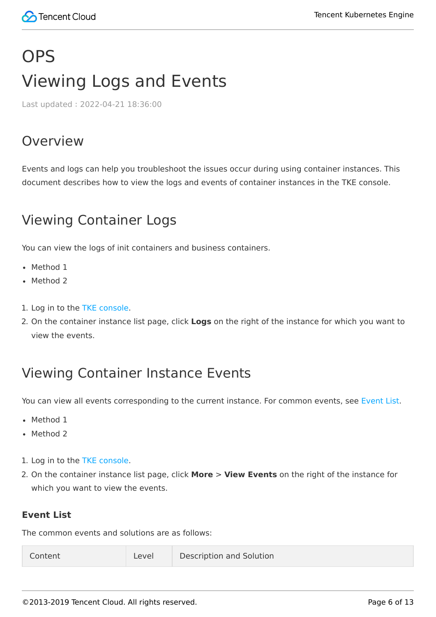# <span id="page-5-1"></span><span id="page-5-0"></span>**OPS** Viewing Logs and Events

Last updated:2022-04-21 18:36:00

### Overview

Events and logs can help you troubleshoot the issues occur during using container instances. This document describes how to view the logs and events of container instances in the TKE console.

# Viewing Container Logs

You can view the logs of init containers and business containers.

- Method 1
- Method 2
- 1. Log in to the [TKE console.](https://console.cloud.tencent.com/tke2/eksci)
- 2. On the container instance list page, click **Logs** on the right of the instance for which you want to view the events.

# Viewing Container Instance Events

You can view all events corresponding to the current instance. For common events, see [Event List](#page-5-2).

- Method 1
- Method 2
- 1. Log in to the [TKE console.](https://console.cloud.tencent.com/tke2/eksci)
- 2. On the container instance list page, click **More** > **View Events** on the right of the instance for which you want to view the events.

#### <span id="page-5-2"></span>**Event List**

The common events and solutions are as follows: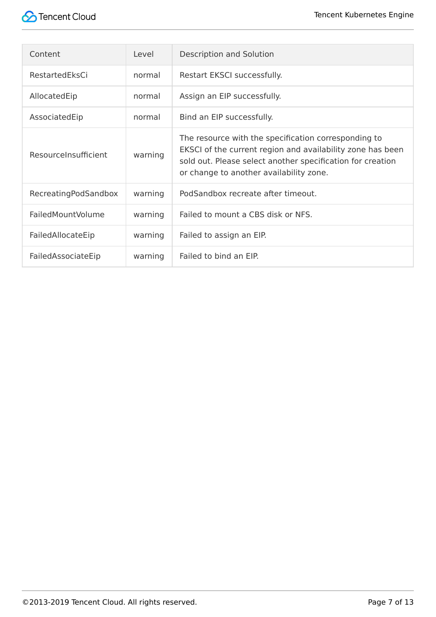

| Content                  | Level   | Description and Solution                                                                                                                                                                                                    |  |
|--------------------------|---------|-----------------------------------------------------------------------------------------------------------------------------------------------------------------------------------------------------------------------------|--|
| RestartedEksCi           | normal  | Restart EKSCI successfully.                                                                                                                                                                                                 |  |
| AllocatedEip             | normal  | Assign an EIP successfully.                                                                                                                                                                                                 |  |
| AssociatedEip            | normal  | Bind an EIP successfully.                                                                                                                                                                                                   |  |
| ResourceInsufficient     | warning | The resource with the specification corresponding to<br>EKSCI of the current region and availability zone has been<br>sold out. Please select another specification for creation<br>or change to another availability zone. |  |
| RecreatingPodSandbox     | warning | PodSandbox recreate after timeout.                                                                                                                                                                                          |  |
| <b>FailedMountVolume</b> | warning | Failed to mount a CBS disk or NFS.                                                                                                                                                                                          |  |
| FailedAllocateEip        | warning | Failed to assign an EIP.                                                                                                                                                                                                    |  |
| FailedAssociateEip       | warning | Failed to bind an EIP.                                                                                                                                                                                                      |  |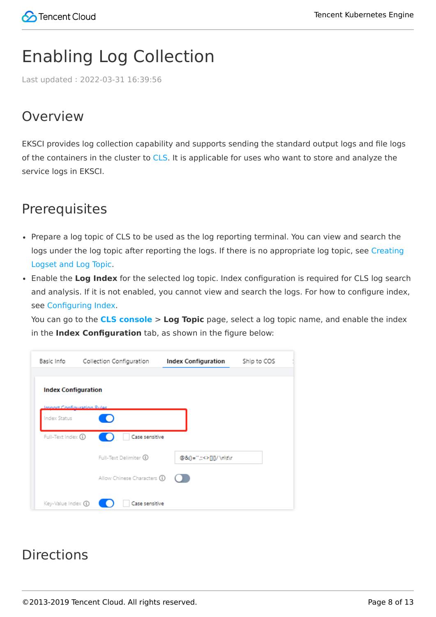# <span id="page-7-0"></span>Enabling Log Collection

Last updated:2022-03-31 16:39:56

# Overview

EKSCI provides log collection capability and supports sending the standard output logs and file logs of the containers in the cluster to [CLS.](https://intl.cloud.tencent.com/zh/product/cls) It is applicable for uses who want to store and analyze the service logs in EKSCI.

# **Prerequisites**

- Prepare a log topic of CLS to be used as the log reporting terminal. You can view and search the [logs under the log topic after reporting the logs. If there is no appropriate log topic, see Creating](https://intl.cloud.tencent.com/document/product/614/31592) Logset and Log Topic.
- Enable the **Log Index** for the selected log topic. Index configuration is required for CLS log search and analysis. If it is not enabled, you cannot view and search the logs. For how to configure index, see [Configuring Index.](https://intl.cloud.tencent.com/zh/document/product/614/39594)

You can go to the **[CLS console](https://console.cloud.tencent.com/cls/topic?region=ap-guangzhou)** > **Log Topic** page, select a log topic name, and enable the index in the **Index Configuration** tab, as shown in the figure below:

| Basic Info                                 | Collection Configuration     | Index Configuration      | Ship to COS |  |  |  |  |  |
|--------------------------------------------|------------------------------|--------------------------|-------------|--|--|--|--|--|
| <b>Index Configuration</b>                 |                              |                          |             |  |  |  |  |  |
| Import Configuration Rules<br>Index Status |                              |                          |             |  |  |  |  |  |
| Full-Text Index (1)                        | Case sensitive               |                          |             |  |  |  |  |  |
|                                            | Full-Text Delimiter 1        | @&()="",::<>[]{}/ \n\t\r |             |  |  |  |  |  |
|                                            | Allow Chinese Characters (1) |                          |             |  |  |  |  |  |
| Key-Value Index (1)                        | Case sensitive               |                          |             |  |  |  |  |  |

# **Directions**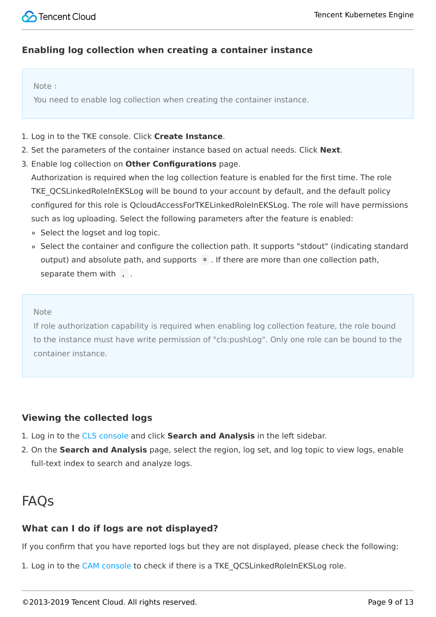

#### **Enabling log collection when creating a container instance**

#### Note:

You need to enable log collection when creating the container instance.

- 1. Log in to the TKE console. Click **Create Instance**.
- 2. Set the parameters of the container instance based on actual needs. Click **Next**.
- 3. Enable log collection on **Other Configurations** page.

Authorization is required when the log collection feature is enabled for the first time. The role TKE\_QCSLinkedRoleInEKSLog will be bound to your account by default, and the default policy configured for this role is QcloudAccessForTKELinkedRoleInEKSLog. The role will have permissions such as log uploading. Select the following parameters after the feature is enabled:

- Select the logset and log topic.
- Select the container and configure the collection path. It supports "stdout" (indicating standard output) and absolute path, and supports  $*$ . If there are more than one collection path, separate them with , .

#### Note

If role authorization capability is required when enabling log collection feature, the role bound to the instance must have write permission of "cls:pushLog". Only one role can be bound to the container instance.

#### **Viewing the collected logs**

- 1. Log in to the [CLS console](https://console.cloud.tencent.com/cls) and click **Search and Analysis** in the left sidebar.
- 2. On the **Search and Analysis** page, select the region, log set, and log topic to view logs, enable full-text index to search and analyze logs.

### **FAOs**

#### **What can I do if logs are not displayed?**

If you confirm that you have reported logs but they are not displayed, please check the following:

1. Log in to the [CAM console](https://console.cloud.tencent.com/cam/role) to check if there is a TKE QCSLinkedRoleInEKSLog role.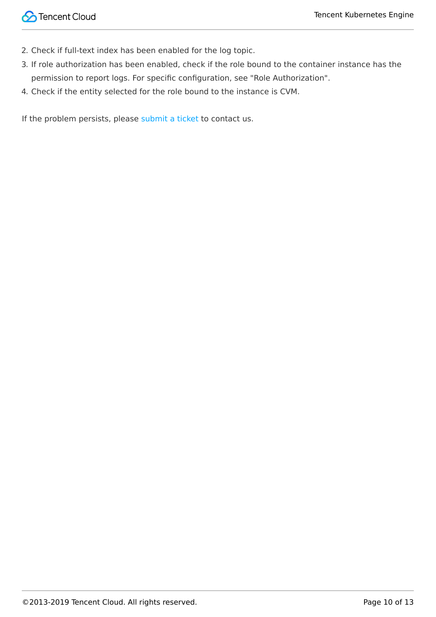- 2. Check if full-text index has been enabled for the log topic.
- 3. If role authorization has been enabled, check if the role bound to the container instance has the permission to report logs. For specific configuration, see "Role Authorization".
- 4. Check if the entity selected for the role bound to the instance is CVM.

If the problem persists, please [submit a ticket](https://console.intl.cloud.tencent.com/workorder) to contact us.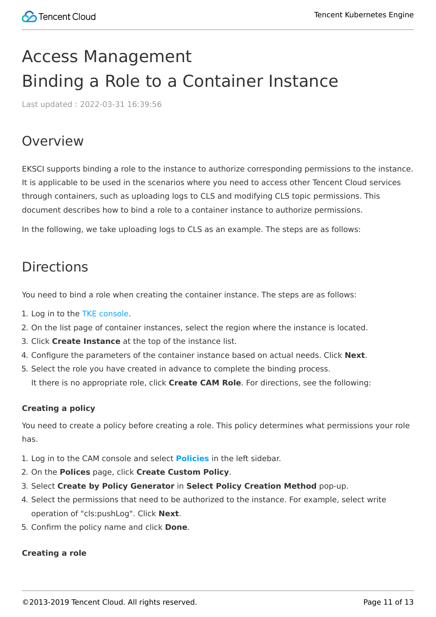# <span id="page-10-1"></span><span id="page-10-0"></span>Access Management Binding a Role to a Container Instance

Last updated:2022-03-31 16:39:56

### Overview

EKSCI supports binding a role to the instance to authorize corresponding permissions to the instance. It is applicable to be used in the scenarios where you need to access other Tencent Cloud services through containers, such as uploading logs to CLS and modifying CLS topic permissions. This document describes how to bind a role to a container instance to authorize permissions.

In the following, we take uploading logs to CLS as an example. The steps are as follows:

# **Directions**

You need to bind a role when creating the container instance. The steps are as follows:

- 1. Log in to the [TKE console.](https://console.cloud.tencent.com/tke2/eksci)
- 2. On the list page of container instances, select the region where the instance is located.
- 3. Click **Create Instance** at the top of the instance list.
- 4. Configure the parameters of the container instance based on actual needs. Click **Next**.
- 5. Select the role you have created in advance to complete the binding process. It there is no appropriate role, click **Create CAM Role**. For directions, see the following:

#### **Creating a policy**

You need to create a policy before creating a role. This policy determines what permissions your role has.

- 1. Log in to the CAM console and select **[Policies](https://console.cloud.tencent.com/cam/policy)** in the left sidebar.
- 2. On the **Polices** page, click **Create Custom Policy**.
- 3. Select **Create by Policy Generator** in **Select Policy Creation Method** pop-up.
- 4. Select the permissions that need to be authorized to the instance. For example, select write operation of "cls:pushLog". Click **Next**.
- 5. Confirm the policy name and click **Done**.

#### **Creating a role**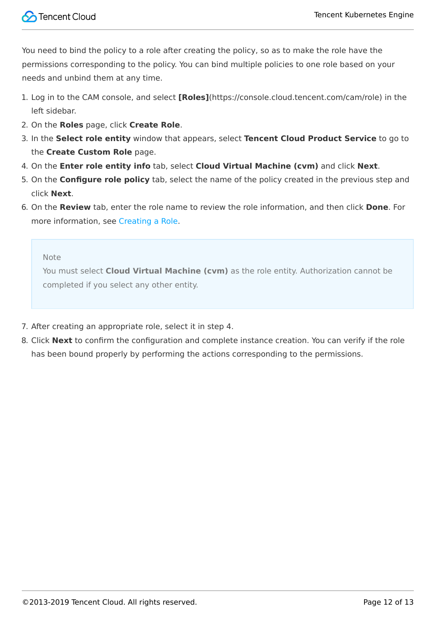You need to bind the policy to a role after creating the policy, so as to make the role have the permissions corresponding to the policy. You can bind multiple policies to one role based on your needs and unbind them at any time.

- 1. Log in to the CAM console, and select **[Roles]**(https://console.cloud.tencent.com/cam/role) in the left sidebar.
- 2. On the **Roles** page, click **Create Role**.
- 3. In the **Select role entity** window that appears, select **Tencent Cloud Product Service** to go to the **Create Custom Role** page.
- 4. On the **Enter role entity info** tab, select **Cloud Virtual Machine (cvm)** and click **Next**.
- 5. On the **Configure role policy** tab, select the name of the policy created in the previous step and click **Next**.
- 6. On the **Review** tab, enter the role name to review the role information, and then click **Done**. For more information, see [Creating a Role.](https://intl.cloud.tencent.com/document/product/598/19381)

Note

You must select **Cloud Virtual Machine (cvm)** as the role entity. Authorization cannot be completed if you select any other entity.

- 7. After creating an appropriate role, select it in step 4.
- 8. Click **Next** to confirm the configuration and complete instance creation. You can verify if the role has been bound properly by performing the actions corresponding to the permissions.